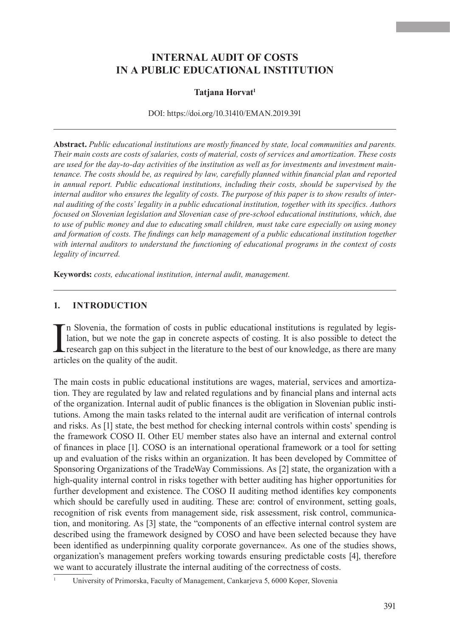# **INTERNAL AUDIT OF COSTS IN A PUBLIC EDUCATIONAL INSTITUTION**

### **Tatjana Horvat<sup>1</sup>**

DOI: https://doi.org/10.31410/EMAN.2019.391

**Abstract.** *Public educational institutions are mostly financed by state, local communities and parents. Their main costs are costs of salaries, costs of material, costs of services and amortization. These costs are used for the day-to-day activities of the institution as well as for investments and investment maintenance. The costs should be, as required by law, carefully planned within financial plan and reported in annual report. Public educational institutions, including their costs, should be supervised by the internal auditor who ensures the legality of costs. The purpose of this paper is to show results of internal auditing of the costs' legality in a public educational institution, together with its specifics. Authors focused on Slovenian legislation and Slovenian case of pre-school educational institutions, which, due to use of public money and due to educating small children, must take care especially on using money and formation of costs. The findings can help management of a public educational institution together with internal auditors to understand the functioning of educational programs in the context of costs legality of incurred.*

**Keywords:** *costs, educational institution, internal audit, management.*

#### **1. INTRODUCTION**

In Slovenia, the formation of c<br>lation, but we note the gap in<br>research gap on this subject in<br>articles on the quality of the audit. n Slovenia, the formation of costs in public educational institutions is regulated by legislation, but we note the gap in concrete aspects of costing. It is also possible to detect the research gap on this subject in the literature to the best of our knowledge, as there are many

The main costs in public educational institutions are wages, material, services and amortization. They are regulated by law and related regulations and by financial plans and internal acts of the organization. Internal audit of public finances is the obligation in Slovenian public institutions. Among the main tasks related to the internal audit are verification of internal controls and risks. As [1] state, the best method for checking internal controls within costs' spending is the framework COSO II. Other EU member states also have an internal and external control of finances in place [1]. COSO is an international operational framework or a tool for setting up and evaluation of the risks within an organization. It has been developed by Committee of Sponsoring Organizations of the TradeWay Commissions. As [2] state, the organization with a high-quality internal control in risks together with better auditing has higher opportunities for further development and existence. The COSO II auditing method identifies key components which should be carefully used in auditing. These are: control of environment, setting goals, recognition of risk events from management side, risk assessment, risk control, communication, and monitoring. As [3] state, the "components of an effective internal control system are described using the framework designed by COSO and have been selected because they have been identified as underpinning quality corporate governance«. As one of the studies shows, organization's management prefers working towards ensuring predictable costs [4], therefore we want to accurately illustrate the internal auditing of the correctness of costs.

<sup>1</sup> University of Primorska, Faculty of Management, Cankarjeva 5, 6000 Koper, Slovenia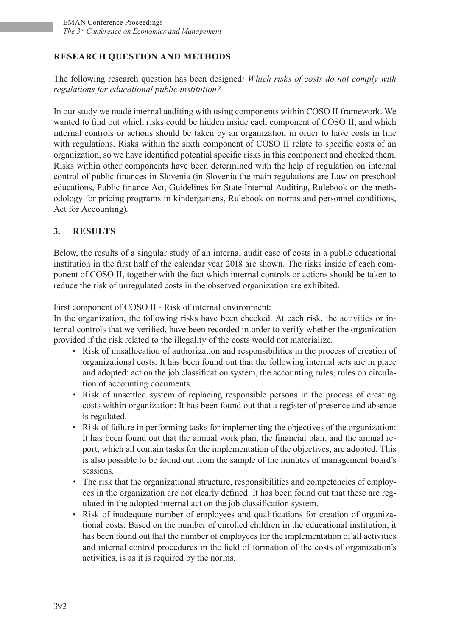# **RESEARCH QUESTION AND METHODS**

The following research question has been designed*: Which risks of costs do not comply with regulations for educational public institution?*

In our study we made internal auditing with using components within COSO II framework. We wanted to find out which risks could be hidden inside each component of COSO II, and which internal controls or actions should be taken by an organization in order to have costs in line with regulations. Risks within the sixth component of COSO II relate to specific costs of an organization, so we have identified potential specific risks in this component and checked them. Risks within other components have been determined with the help of regulation on internal control of public finances in Slovenia (in Slovenia the main regulations are Law on preschool educations, Public finance Act, Guidelines for State Internal Auditing, Rulebook on the methodology for pricing programs in kindergartens, Rulebook on norms and personnel conditions, Act for Accounting).

## **3. RESULTS**

Below, the results of a singular study of an internal audit case of costs in a public educational institution in the first half of the calendar year 2018 are shown. The risks inside of each component of COSO II, together with the fact which internal controls or actions should be taken to reduce the risk of unregulated costs in the observed organization are exhibited.

First component of COSO II - Risk of internal environment:

In the organization, the following risks have been checked. At each risk, the activities or internal controls that we verified, have been recorded in order to verify whether the organization provided if the risk related to the illegality of the costs would not materialize.

- Risk of misallocation of authorization and responsibilities in the process of creation of organizational costs: It has been found out that the following internal acts are in place and adopted: act on the job classification system, the accounting rules, rules on circulation of accounting documents.
- Risk of unsettled system of replacing responsible persons in the process of creating costs within organization: It has been found out that a register of presence and absence is regulated.
- Risk of failure in performing tasks for implementing the objectives of the organization: It has been found out that the annual work plan, the financial plan, and the annual report, which all contain tasks for the implementation of the objectives, are adopted. This is also possible to be found out from the sample of the minutes of management board's sessions.
- The risk that the organizational structure, responsibilities and competencies of employees in the organization are not clearly defined: It has been found out that these are regulated in the adopted internal act on the job classification system.
- Risk of inadequate number of employees and qualifications for creation of organizational costs: Based on the number of enrolled children in the educational institution, it has been found out that the number of employees for the implementation of all activities and internal control procedures in the field of formation of the costs of organization's activities, is as it is required by the norms.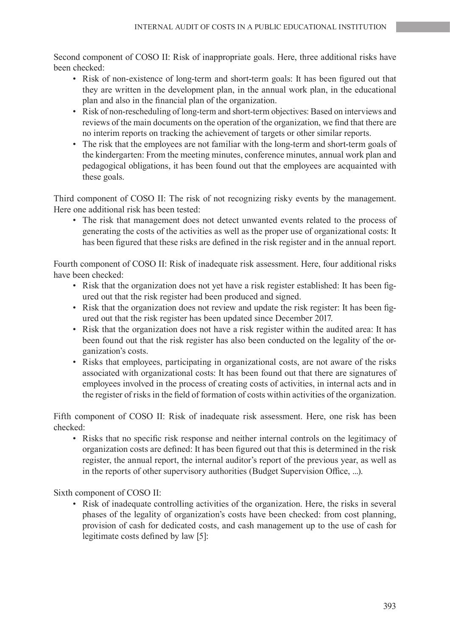Second component of COSO II: Risk of inappropriate goals. Here, three additional risks have been checked:

- Risk of non-existence of long-term and short-term goals: It has been figured out that they are written in the development plan, in the annual work plan, in the educational plan and also in the financial plan of the organization.
- Risk of non-rescheduling of long-term and short-term objectives: Based on interviews and reviews of the main documents on the operation of the organization, we find that there are no interim reports on tracking the achievement of targets or other similar reports.
- The risk that the employees are not familiar with the long-term and short-term goals of the kindergarten: From the meeting minutes, conference minutes, annual work plan and pedagogical obligations, it has been found out that the employees are acquainted with these goals.

Third component of COSO II: The risk of not recognizing risky events by the management. Here one additional risk has been tested:

• The risk that management does not detect unwanted events related to the process of generating the costs of the activities as well as the proper use of organizational costs: It has been figured that these risks are defined in the risk register and in the annual report.

Fourth component of COSO II: Risk of inadequate risk assessment. Here, four additional risks have been checked:

- Risk that the organization does not yet have a risk register established: It has been figured out that the risk register had been produced and signed.
- Risk that the organization does not review and update the risk register: It has been figured out that the risk register has been updated since December 2017.
- Risk that the organization does not have a risk register within the audited area: It has been found out that the risk register has also been conducted on the legality of the organization's costs.
- Risks that employees, participating in organizational costs, are not aware of the risks associated with organizational costs: It has been found out that there are signatures of employees involved in the process of creating costs of activities, in internal acts and in the register of risks in the field of formation of costs within activities of the organization.

Fifth component of COSO II: Risk of inadequate risk assessment. Here, one risk has been checked:

• Risks that no specific risk response and neither internal controls on the legitimacy of organization costs are defined: It has been figured out that this is determined in the risk register, the annual report, the internal auditor's report of the previous year, as well as in the reports of other supervisory authorities (Budget Supervision Office, ...).

Sixth component of COSO II:

• Risk of inadequate controlling activities of the organization. Here, the risks in several phases of the legality of organization's costs have been checked: from cost planning, provision of cash for dedicated costs, and cash management up to the use of cash for legitimate costs defined by law [5]: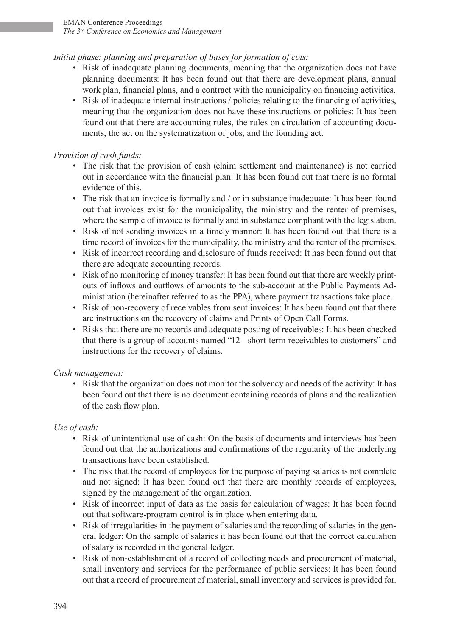# *Initial phase: planning and preparation of bases for formation of cots:*

- Risk of inadequate planning documents, meaning that the organization does not have planning documents: It has been found out that there are development plans, annual work plan, financial plans, and a contract with the municipality on financing activities.
- Risk of inadequate internal instructions / policies relating to the financing of activities, meaning that the organization does not have these instructions or policies: It has been found out that there are accounting rules, the rules on circulation of accounting documents, the act on the systematization of jobs, and the founding act.

# *Provision of cash funds:*

- The risk that the provision of cash (claim settlement and maintenance) is not carried out in accordance with the financial plan: It has been found out that there is no formal evidence of this.
- The risk that an invoice is formally and / or in substance inadequate: It has been found out that invoices exist for the municipality, the ministry and the renter of premises, where the sample of invoice is formally and in substance compliant with the legislation.
- Risk of not sending invoices in a timely manner: It has been found out that there is a time record of invoices for the municipality, the ministry and the renter of the premises.
- Risk of incorrect recording and disclosure of funds received: It has been found out that there are adequate accounting records.
- Risk of no monitoring of money transfer: It has been found out that there are weekly printouts of inflows and outflows of amounts to the sub-account at the Public Payments Administration (hereinafter referred to as the PPA), where payment transactions take place.
- Risk of non-recovery of receivables from sent invoices: It has been found out that there are instructions on the recovery of claims and Prints of Open Call Forms.
- Risks that there are no records and adequate posting of receivables: It has been checked that there is a group of accounts named "12 - short-term receivables to customers" and instructions for the recovery of claims.

## *Cash management:*

• Risk that the organization does not monitor the solvency and needs of the activity: It has been found out that there is no document containing records of plans and the realization of the cash flow plan.

## *Use of cash:*

- Risk of unintentional use of cash: On the basis of documents and interviews has been found out that the authorizations and confirmations of the regularity of the underlying transactions have been established.
- The risk that the record of employees for the purpose of paying salaries is not complete and not signed: It has been found out that there are monthly records of employees, signed by the management of the organization.
- Risk of incorrect input of data as the basis for calculation of wages: It has been found out that software-program control is in place when entering data.
- Risk of irregularities in the payment of salaries and the recording of salaries in the general ledger: On the sample of salaries it has been found out that the correct calculation of salary is recorded in the general ledger.
- Risk of non-establishment of a record of collecting needs and procurement of material, small inventory and services for the performance of public services: It has been found out that a record of procurement of material, small inventory and services is provided for.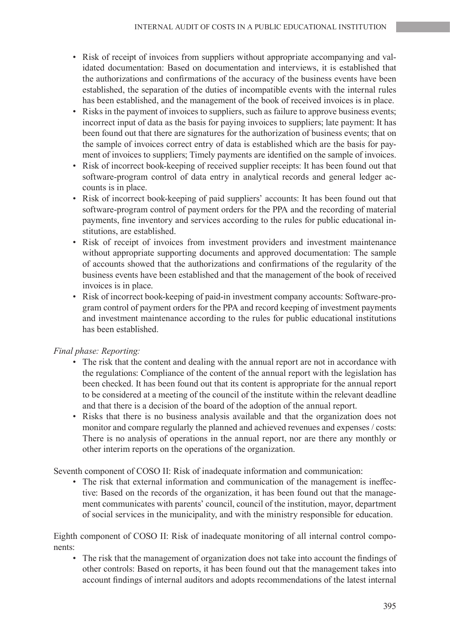- Risk of receipt of invoices from suppliers without appropriate accompanying and validated documentation: Based on documentation and interviews, it is established that the authorizations and confirmations of the accuracy of the business events have been established, the separation of the duties of incompatible events with the internal rules has been established, and the management of the book of received invoices is in place.
- Risks in the payment of invoices to suppliers, such as failure to approve business events; incorrect input of data as the basis for paying invoices to suppliers; late payment: It has been found out that there are signatures for the authorization of business events; that on the sample of invoices correct entry of data is established which are the basis for payment of invoices to suppliers; Timely payments are identified on the sample of invoices.
- Risk of incorrect book-keeping of received supplier receipts: It has been found out that software-program control of data entry in analytical records and general ledger accounts is in place.
- Risk of incorrect book-keeping of paid suppliers' accounts: It has been found out that software-program control of payment orders for the PPA and the recording of material payments, fine inventory and services according to the rules for public educational institutions, are established.
- Risk of receipt of invoices from investment providers and investment maintenance without appropriate supporting documents and approved documentation: The sample of accounts showed that the authorizations and confirmations of the regularity of the business events have been established and that the management of the book of received invoices is in place.
- Risk of incorrect book-keeping of paid-in investment company accounts: Software-program control of payment orders for the PPA and record keeping of investment payments and investment maintenance according to the rules for public educational institutions has been established.

## *Final phase: Reporting:*

- The risk that the content and dealing with the annual report are not in accordance with the regulations: Compliance of the content of the annual report with the legislation has been checked. It has been found out that its content is appropriate for the annual report to be considered at a meeting of the council of the institute within the relevant deadline and that there is a decision of the board of the adoption of the annual report.
- Risks that there is no business analysis available and that the organization does not monitor and compare regularly the planned and achieved revenues and expenses / costs: There is no analysis of operations in the annual report, nor are there any monthly or other interim reports on the operations of the organization.

Seventh component of COSO II: Risk of inadequate information and communication:

The risk that external information and communication of the management is ineffective: Based on the records of the organization, it has been found out that the management communicates with parents' council, council of the institution, mayor, department of social services in the municipality, and with the ministry responsible for education.

Eighth component of COSO II: Risk of inadequate monitoring of all internal control components:

• The risk that the management of organization does not take into account the findings of other controls: Based on reports, it has been found out that the management takes into account findings of internal auditors and adopts recommendations of the latest internal